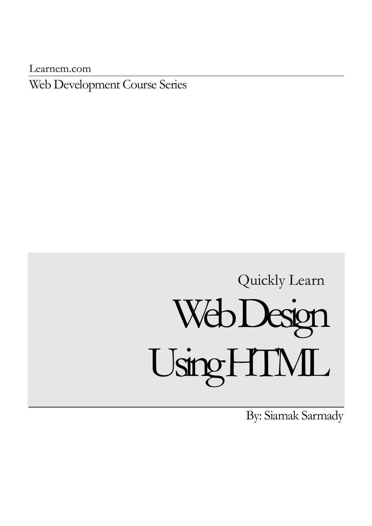Learnem.com Web Development Course Series

# Quickly Learn Web Design Using HTML

By: Siamak Sarmady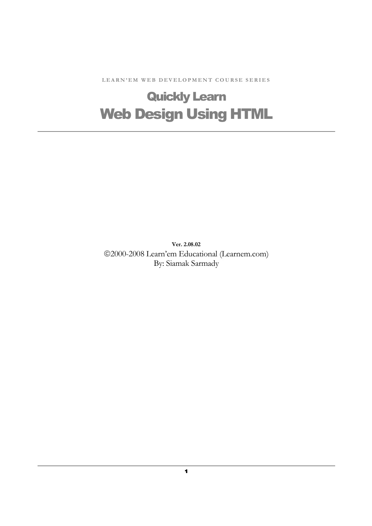LEARN'EM WEB DEVELOPMENT COURSE SERIES

# Quickly Learn Web Design Using HTML

**Ver. 2.08.02**  2000-2008 Learn'em Educational (Learnem.com) By: Siamak Sarmady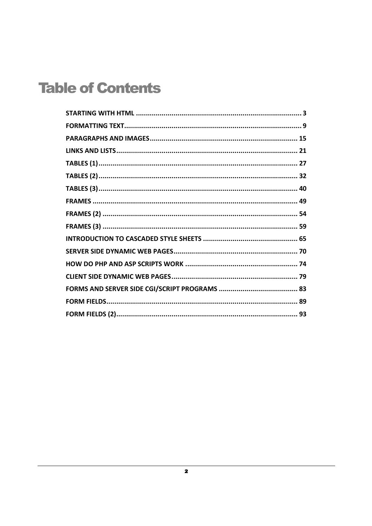# **Table of Contents**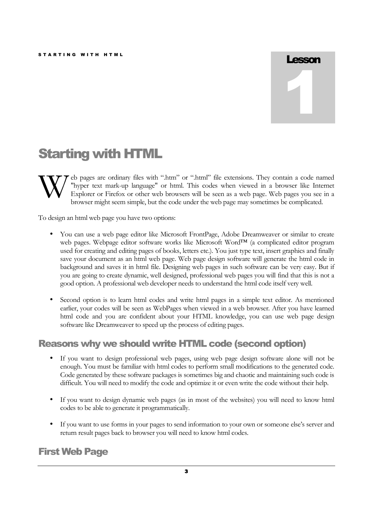

# Starting with HTML



eb pages are ordinary files with ".htm" or ".html" file extensions. They contain a code named "hyper text mark-up language" or html. This codes when viewed in a browser like Internet Explorer or Firefox or other web browsers will be seen as a web page. Web pages you see in a browser might seem simple, but the code under the web page may sometimes be complicated.

To design an html web page you have two options:

- You can use a web page editor like Microsoft FrontPage, Adobe Dreamweaver or similar to create web pages. Webpage editor software works like Microsoft Word™ (a complicated editor program used for creating and editing pages of books, letters etc.). You just type text, insert graphics and finally save your document as an html web page. Web page design software will generate the html code in background and saves it in html file. Designing web pages in such software can be very easy. But if you are going to create dynamic, well designed, professional web pages you will find that this is not a good option. A professional web developer needs to understand the html code itself very well.
- Second option is to learn html codes and write html pages in a simple text editor. As mentioned earlier, your codes will be seen as WebPages when viewed in a web browser. After you have learned html code and you are confident about your HTML knowledge, you can use web page design software like Dreamweaver to speed up the process of editing pages.

## Reasons why we should write HTML code (second option)

- If you want to design professional web pages, using web page design software alone will not be enough. You must be familiar with html codes to perform small modifications to the generated code. Code generated by these software packages is sometimes big and chaotic and maintaining such code is difficult. You will need to modify the code and optimize it or even write the code without their help.
- If you want to design dynamic web pages (as in most of the websites) you will need to know html codes to be able to generate it programmatically.
- If you want to use forms in your pages to send information to your own or someone else's server and return result pages back to browser you will need to know html codes.

# First Web Page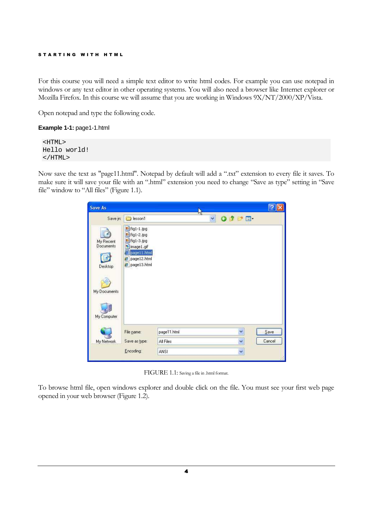For this course you will need a simple text editor to write html codes. For example you can use notepad in windows or any text editor in other operating systems. You will also need a browser like Internet explorer or Mozilla Firefox. In this course we will assume that you are working in Windows 9X/NT/2000/XP/Vista.

Open notepad and type the following code.

```
Example 1-1: page1-1.html
```

```
<HTML> 
Hello world! 
</HTML>
```
Now save the text as "page11.html". Notepad by default will add a ".txt" extension to every file it saves. To make sure it will save your file with an ".html" extension you need to change "Save as type" setting in "Save file" window to "All files" (Figure 1.1).

| <b>Save As</b>                                                   |                                                                                                            | W                |        |
|------------------------------------------------------------------|------------------------------------------------------------------------------------------------------------|------------------|--------|
| Save in:                                                         | lesson1                                                                                                    | O<br>PB.<br>Y    |        |
| My Recent<br>Documents<br>Desktop<br>My Documents<br>My Computer | Fig1-1.jpg<br>Fig1-2.jpg<br>fig1-3.jpg<br>動<br>* image1.gif<br>page11.html<br>e page12.html<br>page13.html |                  |        |
|                                                                  |                                                                                                            |                  |        |
|                                                                  | File name:                                                                                                 | Y<br>page11.html | Save   |
| My Network                                                       | Save as type:                                                                                              | v<br>All Files   | Cancel |
|                                                                  | Encoding:                                                                                                  | Y<br>ANSI        |        |

FIGURE 1.1: Saving a file in .html format.

To browse html file, open windows explorer and double click on the file. You must see your first web page opened in your web browser (Figure 1.2).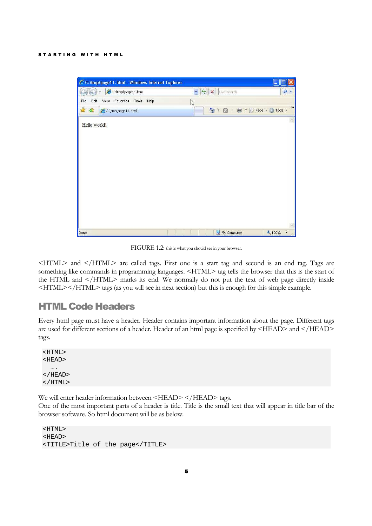

FIGURE 1.2: this is what you should see in your browser.

<HTML> and </HTML> are called tags. First one is a start tag and second is an end tag. Tags are something like commands in programming languages.  $\leq$ HTML $>$  tag tells the browser that this is the start of the HTML and </HTML> marks its end. We normally do not put the text of web page directly inside <HTML></HTML> tags (as you will see in next section) but this is enough for this simple example.

## HTML Code Headers

Every html page must have a header. Header contains important information about the page. Different tags are used for different sections of a header. Header of an html page is specified by <HEAD> and </HEAD> tags.

<HTML> <HEAD> ….  $<$ /HEAD>  $<$ /HTML>

We will enter header information between <HEAD> </HEAD> tags.

One of the most important parts of a header is title. Title is the small text that will appear in title bar of the browser software. So html document will be as below.

<HTML> <HEAD> <TITLE>Title of the page</TITLE>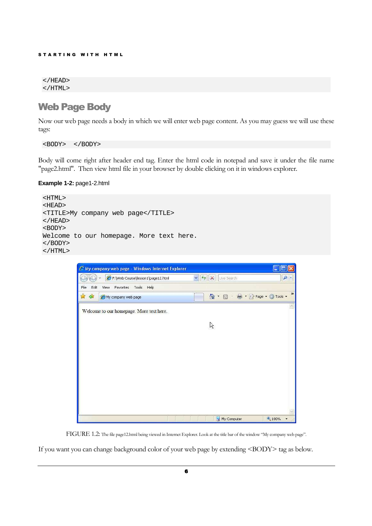</HEAD>  $<$ /HTML>

# Web Page Body

Now our web page needs a body in which we will enter web page content. As you may guess we will use these tags:

<BODY> </BODY>

Body will come right after header end tag. Enter the html code in notepad and save it under the file name "page2.html". Then view html file in your browser by double clicking on it in windows explorer.

**Example 1-2:** page1-2.html

```
<HTML> 
<HEAD> 
<TITLE>My company web page</TITLE> 
</HEAD>
<BODY> 
Welcome to our homepage. More text here. 
</BODY> 
</HTML>
```


FIGURE 1.2: The file page12.html being viewed in Internet Explorer. Look at the title bar of the window "My company web page".

If you want you can change background color of your web page by extending <BODY> tag as below.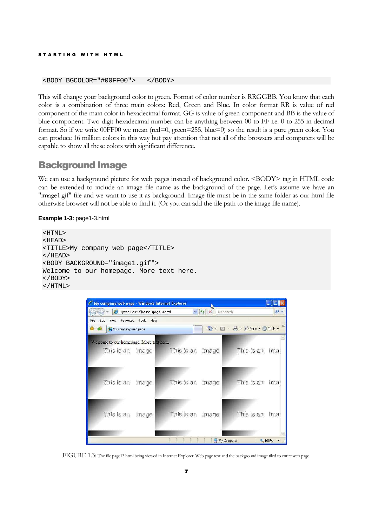```
<BODY BGCOLOR="#00FF00"> </BODY>
```
This will change your background color to green. Format of color number is RRGGBB. You know that each color is a combination of three main colors: Red, Green and Blue. In color format RR is value of red component of the main color in hexadecimal format. GG is value of green component and BB is the value of blue component. Two digit hexadecimal number can be anything between 00 to FF i.e. 0 to 255 in decimal format. So if we write 00FF00 we mean (red=0, green=255, blue=0) so the result is a pure green color. You can produce 16 million colors in this way but pay attention that not all of the browsers and computers will be capable to show all these colors with significant difference.

### Background Image

We can use a background picture for web pages instead of background color. <BODY> tag in HTML code can be extended to include an image file name as the background of the page. Let's assume we have an "image1.gif" file and we want to use it as background. Image file must be in the same folder as our html file otherwise browser will not be able to find it. (Or you can add the file path to the image file name).

#### **Example 1-3:** page1-3.html

```
<HTML> 
<HEAD> 
<TITLE>My company web page</TITLE> 
</HEAD>
<BODY BACKGROUND="image1.gif"> 
Welcome to our homepage. More text here. 
</BODY> 
</HTML>
```


FIGURE 1.3: The file page13.html being viewed in Internet Explorer. Web page text and the background image tiled to entire web page.